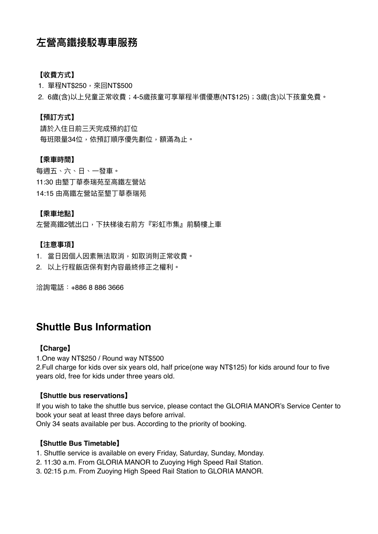# **左營⾼鐵接駁專⾞服務**

## **【收費⽅式】**

1. 單程NT\$250, 來回NT\$500

2. 6歲(含)以上兒童正常收費;4-5歲孩童可享單程半價優惠(NT\$125);3歲(含)以下孩童免費。

#### **【預訂⽅式】**

請於入住日前三天完成預約訂位 每班限量34位,依預訂順序優先劃位,額滿為止。

#### **【乘⾞時間】**

每週五、六、日、一發車。 11:30 由墾丁華泰瑞苑至高鐵左營站 14:15 由高鐵左營站至墾丁華泰瑞苑

#### **【乘⾞地點】**

左營高鐵2號出口,下扶梯後右前方『彩虹市集』前騎樓上車

#### **【注意事項】**

1. 當日因個人因素無法取消,如取消則正常收費。

2. 以上⾏程飯店保有對內容最終修正之權利。

洽詢電話:+886 8 886 3666

## **Shuttle Bus Information**

#### **【Charge】**

1.One way NT\$250 / Round way NT\$500

2.Full charge for kids over six years old, half price(one way NT\$125) for kids around four to five years old, free for kids under three years old.

#### **【Shuttle bus reservations】**

If you wish to take the shuttle bus service, please contact the GLORIA MANOR's Service Center to book your seat at least three days before arrival. Only 34 seats available per bus. According to the priority of booking.

#### **【Shuttle Bus Timetable】**

- 1. Shuttle service is available on every Friday, Saturday, Sunday, Monday.
- 2. 11:30 a.m. From GLORIA MANOR to Zuoying High Speed Rail Station.
- 3. 02:15 p.m. From Zuoying High Speed Rail Station to GLORIA MANOR.